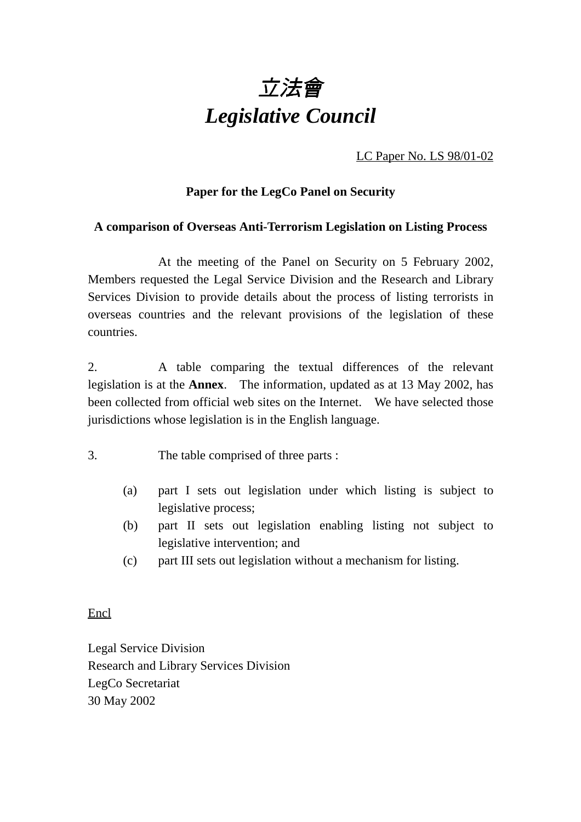

LC Paper No. LS 98/01-02

# **Paper for the LegCo Panel on Security**

## **A comparison of Overseas Anti-Terrorism Legislation on Listing Process**

At the meeting of the Panel on Security on 5 February 2002, Members requested the Legal Service Division and the Research and Library Services Division to provide details about the process of listing terrorists in overseas countries and the relevant provisions of the legislation of these countries.

2. A table comparing the textual differences of the relevant legislation is at the **Annex**. The information, updated as at 13 May 2002, has been collected from official web sites on the Internet. We have selected those jurisdictions whose legislation is in the English language.

- 3. The table comprised of three parts :
	- (a) part I sets out legislation under which listing is subject to legislative process;
	- (b) part II sets out legislation enabling listing not subject to legislative intervention; and
	- (c) part III sets out legislation without a mechanism for listing.

Encl

Legal Service Division Research and Library Services Division LegCo Secretariat 30 May 2002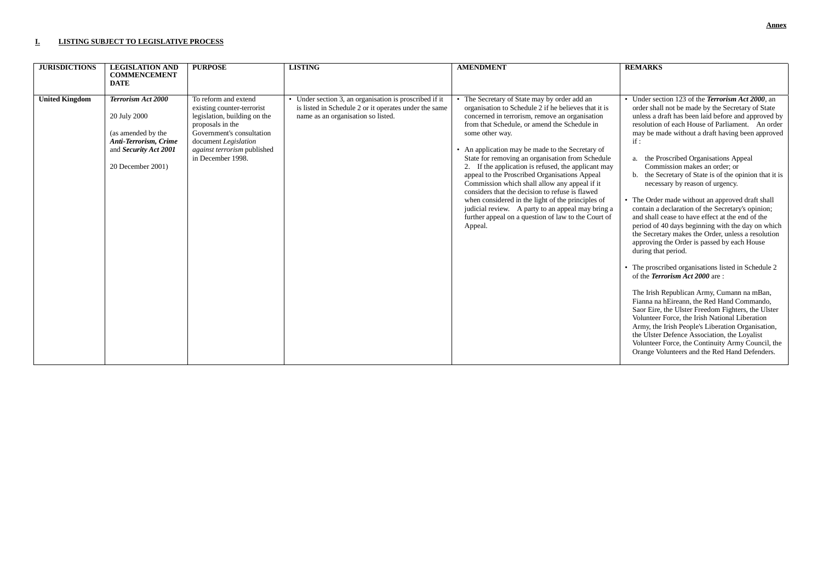#### **I. LISTING SUBJECT TO LEGISLATIVE PROCESS**

| <b>JURISDICTIONS</b>  | <b>LEGISLATION AND</b><br><b>COMMENCEMENT</b>                                                                                          | <b>PURPOSE</b>                                                                                                                                                                                                  | <b>LISTING</b>                                                                                                                                        | <b>AMENDMENT</b>                                                                                                                                                                                                                                                                                                                                                                                                                                                                                                                                                                                                                                                                                                        | <b>REMARKS</b>                                                                                                                                                                                                                                                                                                                                                                                                                                                                                                                                                                                                                                                                                                                                                                                                                                                                                                                                                                                                                                                                                                                                                                                                                                                                                                      |
|-----------------------|----------------------------------------------------------------------------------------------------------------------------------------|-----------------------------------------------------------------------------------------------------------------------------------------------------------------------------------------------------------------|-------------------------------------------------------------------------------------------------------------------------------------------------------|-------------------------------------------------------------------------------------------------------------------------------------------------------------------------------------------------------------------------------------------------------------------------------------------------------------------------------------------------------------------------------------------------------------------------------------------------------------------------------------------------------------------------------------------------------------------------------------------------------------------------------------------------------------------------------------------------------------------------|---------------------------------------------------------------------------------------------------------------------------------------------------------------------------------------------------------------------------------------------------------------------------------------------------------------------------------------------------------------------------------------------------------------------------------------------------------------------------------------------------------------------------------------------------------------------------------------------------------------------------------------------------------------------------------------------------------------------------------------------------------------------------------------------------------------------------------------------------------------------------------------------------------------------------------------------------------------------------------------------------------------------------------------------------------------------------------------------------------------------------------------------------------------------------------------------------------------------------------------------------------------------------------------------------------------------|
|                       | <b>DATE</b>                                                                                                                            |                                                                                                                                                                                                                 |                                                                                                                                                       |                                                                                                                                                                                                                                                                                                                                                                                                                                                                                                                                                                                                                                                                                                                         |                                                                                                                                                                                                                                                                                                                                                                                                                                                                                                                                                                                                                                                                                                                                                                                                                                                                                                                                                                                                                                                                                                                                                                                                                                                                                                                     |
| <b>United Kingdom</b> | <b>Terrorism Act 2000</b><br>20 July 2000<br>(as amended by the<br>Anti-Terrorism, Crime<br>and Security Act 2001<br>20 December 2001) | To reform and extend<br>existing counter-terrorist<br>legislation, building on the<br>proposals in the<br>Government's consultation<br>document Legislation<br>against terrorism published<br>in December 1998. | • Under section 3, an organisation is proscribed if it<br>is listed in Schedule 2 or it operates under the same<br>name as an organisation so listed. | • The Secretary of State may by order add an<br>organisation to Schedule 2 if he believes that it is<br>concerned in terrorism, remove an organisation<br>from that Schedule, or amend the Schedule in<br>some other way.<br>An application may be made to the Secretary of<br>State for removing an organisation from Schedule<br>2. If the application is refused, the applicant may<br>appeal to the Proscribed Organisations Appeal<br>Commission which shall allow any appeal if it<br>considers that the decision to refuse is flawed<br>when considered in the light of the principles of<br>judicial review. A party to an appeal may bring a<br>further appeal on a question of law to the Court of<br>Appeal. | • Under section 123 of the <i>Terrorism Act 2000</i> , an<br>order shall not be made by the Secretary of State<br>unless a draft has been laid before and approved by<br>resolution of each House of Parliament. An order<br>may be made without a draft having been approved<br>if:<br>the Proscribed Organisations Appeal<br>Commission makes an order; or<br>the Secretary of State is of the opinion that it is<br>necessary by reason of urgency.<br>• The Order made without an approved draft shall<br>contain a declaration of the Secretary's opinion;<br>and shall cease to have effect at the end of the<br>period of 40 days beginning with the day on which<br>the Secretary makes the Order, unless a resolution<br>approving the Order is passed by each House<br>during that period.<br>• The proscribed organisations listed in Schedule 2<br>of the <i>Terrorism Act 2000</i> are:<br>The Irish Republican Army, Cumann na mBan,<br>Fianna na hEireann, the Red Hand Commando.<br>Saor Eire, the Ulster Freedom Fighters, the Ulster<br>Volunteer Force, the Irish National Liberation<br>Army, the Irish People's Liberation Organisation,<br>the Ulster Defence Association, the Loyalist<br>Volunteer Force, the Continuity Army Council, the<br>Orange Volunteers and the Red Hand Defenders. |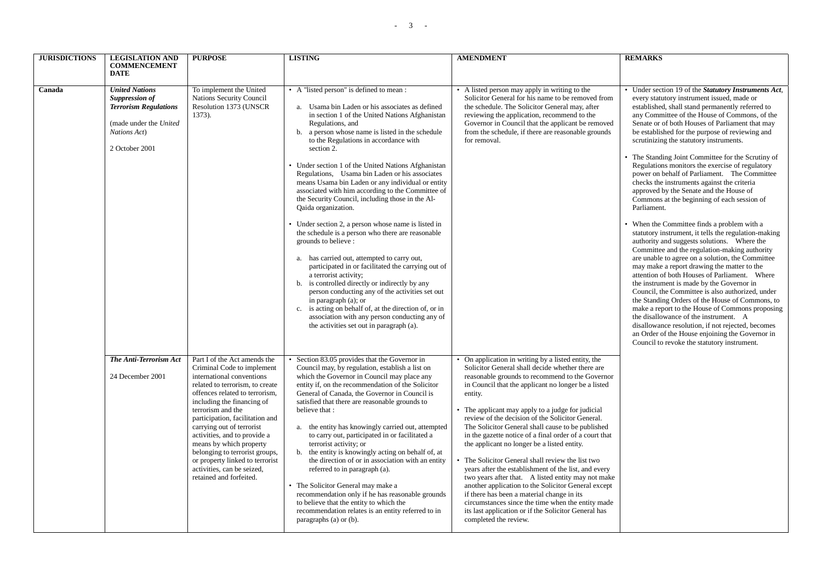| <b>JURISDICTIONS</b> | <b>LEGISLATION AND</b><br><b>COMMENCEMENT</b><br><b>DATE</b>                                                                        | <b>PURPOSE</b>                                                                                                                                                                                                                                                                                                                                                                                                                                                           | <b>LISTING</b>                                                                                                                                                                                                                                                                                                                                                                                                                                                                                                                                                                                                                                                                                                                                                                                                                                                                                                                                                                                                                                                                                                                     | <b>AMENDMENT</b>                                                                                                                                                                                                                                                                                                                                                                                                                                                                                                                                                                                                                                                                                                                                                                                                                                                                                            | <b>REMARKS</b>                                                                                                                                                                                                                                                                                                                                                                                                                                                                                                                                                                                                                                                                                                                                                                                                                                                                                                                                                                                                                                                                                                                                                                                                                                                                                                                                                                                                                              |
|----------------------|-------------------------------------------------------------------------------------------------------------------------------------|--------------------------------------------------------------------------------------------------------------------------------------------------------------------------------------------------------------------------------------------------------------------------------------------------------------------------------------------------------------------------------------------------------------------------------------------------------------------------|------------------------------------------------------------------------------------------------------------------------------------------------------------------------------------------------------------------------------------------------------------------------------------------------------------------------------------------------------------------------------------------------------------------------------------------------------------------------------------------------------------------------------------------------------------------------------------------------------------------------------------------------------------------------------------------------------------------------------------------------------------------------------------------------------------------------------------------------------------------------------------------------------------------------------------------------------------------------------------------------------------------------------------------------------------------------------------------------------------------------------------|-------------------------------------------------------------------------------------------------------------------------------------------------------------------------------------------------------------------------------------------------------------------------------------------------------------------------------------------------------------------------------------------------------------------------------------------------------------------------------------------------------------------------------------------------------------------------------------------------------------------------------------------------------------------------------------------------------------------------------------------------------------------------------------------------------------------------------------------------------------------------------------------------------------|---------------------------------------------------------------------------------------------------------------------------------------------------------------------------------------------------------------------------------------------------------------------------------------------------------------------------------------------------------------------------------------------------------------------------------------------------------------------------------------------------------------------------------------------------------------------------------------------------------------------------------------------------------------------------------------------------------------------------------------------------------------------------------------------------------------------------------------------------------------------------------------------------------------------------------------------------------------------------------------------------------------------------------------------------------------------------------------------------------------------------------------------------------------------------------------------------------------------------------------------------------------------------------------------------------------------------------------------------------------------------------------------------------------------------------------------|
| Canada               | <b>United Nations</b><br>Suppression of<br><b>Terrorism Regulations</b><br>(made under the United<br>Nations Act)<br>2 October 2001 | To implement the United<br>Nations Security Council<br>Resolution 1373 (UNSCR<br>$1373$ ).                                                                                                                                                                                                                                                                                                                                                                               | • A "listed person" is defined to mean :<br>a. Usama bin Laden or his associates as defined<br>in section 1 of the United Nations Afghanistan<br>Regulations, and<br>b. a person whose name is listed in the schedule<br>to the Regulations in accordance with<br>section 2.<br>• Under section 1 of the United Nations Afghanistan<br>Regulations, Usama bin Laden or his associates<br>means Usama bin Laden or any individual or entity<br>associated with him according to the Committee of<br>the Security Council, including those in the Al-<br>Qaida organization.<br>• Under section 2, a person whose name is listed in<br>the schedule is a person who there are reasonable<br>grounds to believe :<br>a. has carried out, attempted to carry out,<br>participated in or facilitated the carrying out of<br>a terrorist activity;<br>b. is controlled directly or indirectly by any<br>person conducting any of the activities set out<br>in paragraph $(a)$ ; or<br>c. is acting on behalf of, at the direction of, or in<br>association with any person conducting any of<br>the activities set out in paragraph (a). | • A listed person may apply in writing to the<br>Solicitor General for his name to be removed from<br>the schedule. The Solicitor General may, after<br>reviewing the application, recommend to the<br>Governor in Council that the applicant be removed<br>from the schedule, if there are reasonable grounds<br>for removal.                                                                                                                                                                                                                                                                                                                                                                                                                                                                                                                                                                              | • Under section 19 of the Statutory Instruments Act,<br>every statutory instrument issued, made or<br>established, shall stand permanently referred to<br>any Committee of the House of Commons, of the<br>Senate or of both Houses of Parliament that may<br>be established for the purpose of reviewing and<br>scrutinizing the statutory instruments.<br>• The Standing Joint Committee for the Scrutiny of<br>Regulations monitors the exercise of regulatory<br>power on behalf of Parliament. The Committee<br>checks the instruments against the criteria<br>approved by the Senate and the House of<br>Commons at the beginning of each session of<br>Parliament.<br>• When the Committee finds a problem with a<br>statutory instrument, it tells the regulation-making<br>authority and suggests solutions. Where the<br>Committee and the regulation-making authority<br>are unable to agree on a solution, the Committee<br>may make a report drawing the matter to the<br>attention of both Houses of Parliament. Where<br>the instrument is made by the Governor in<br>Council, the Committee is also authorized, under<br>the Standing Orders of the House of Commons, to<br>make a report to the House of Commons proposing<br>the disallowance of the instrument. A<br>disallowance resolution, if not rejected, becomes<br>an Order of the House enjoining the Governor in<br>Council to revoke the statutory instrument. |
|                      | The Anti-Terrorism Act<br>24 December 2001                                                                                          | Part I of the Act amends the<br>Criminal Code to implement<br>international conventions<br>related to terrorism, to create<br>offences related to terrorism,<br>including the financing of<br>terrorism and the<br>participation, facilitation and<br>carrying out of terrorist<br>activities, and to provide a<br>means by which property<br>belonging to terrorist groups,<br>or property linked to terrorist<br>activities, can be seized,<br>retained and forfeited. | • Section 83.05 provides that the Governor in<br>Council may, by regulation, establish a list on<br>which the Governor in Council may place any<br>entity if, on the recommendation of the Solicitor<br>General of Canada, the Governor in Council is<br>satisfied that there are reasonable grounds to<br>believe that:<br>the entity has knowingly carried out, attempted<br>a.<br>to carry out, participated in or facilitated a<br>terrorist activity; or<br>the entity is knowingly acting on behalf of, at<br>b.<br>the direction of or in association with an entity<br>referred to in paragraph (a).<br>• The Solicitor General may make a<br>recommendation only if he has reasonable grounds<br>to believe that the entity to which the<br>recommendation relates is an entity referred to in<br>paragraphs (a) or (b).                                                                                                                                                                                                                                                                                                  | On application in writing by a listed entity, the<br>Solicitor General shall decide whether there are<br>reasonable grounds to recommend to the Governor<br>in Council that the applicant no longer be a listed<br>entity.<br>The applicant may apply to a judge for judicial<br>review of the decision of the Solicitor General.<br>The Solicitor General shall cause to be published<br>in the gazette notice of a final order of a court that<br>the applicant no longer be a listed entity.<br>The Solicitor General shall review the list two<br>years after the establishment of the list, and every<br>two years after that. A listed entity may not make<br>another application to the Solicitor General except<br>if there has been a material change in its<br>circumstances since the time when the entity made<br>its last application or if the Solicitor General has<br>completed the review. |                                                                                                                                                                                                                                                                                                                                                                                                                                                                                                                                                                                                                                                                                                                                                                                                                                                                                                                                                                                                                                                                                                                                                                                                                                                                                                                                                                                                                                             |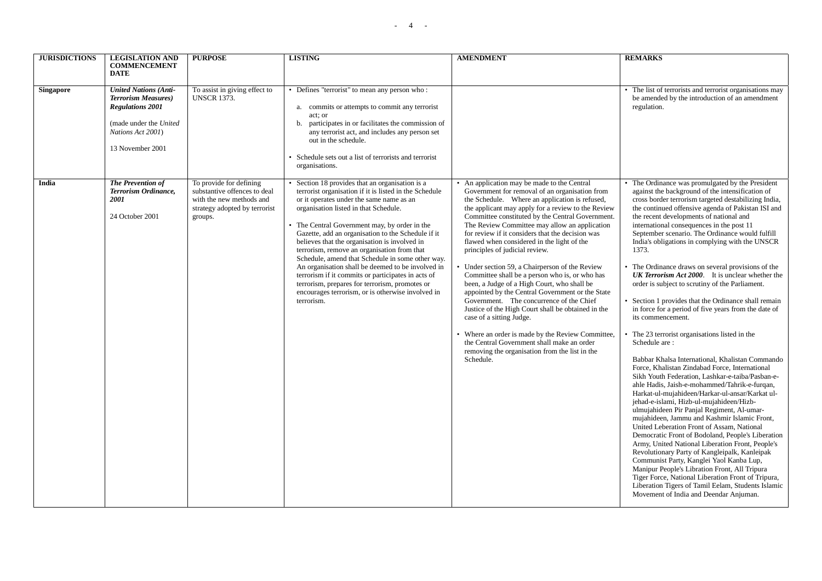| <b>JURISDICTIONS</b> | <b>LEGISLATION AND</b><br><b>COMMENCEMENT</b><br><b>DATE</b>                                                                                              | <b>PURPOSE</b>                                                                                                                  | <b>LISTING</b>                                                                                                                                                                                                                                                                                                                                                                                                                                                                                                                                                                                                                                                                            | <b>AMENDMENT</b>                                                                                                                                                                                                                                                                                                                                                                                                                                                                                                                                                                                                                                                                                                                                                                                                                                                                                                                                   | <b>REMARKS</b>                                                                                                                                                                                                                                                                                                                                                                                                                                                                                                                                                                                                                                                                                                                                                                                                                                                                                                                                                                                                                                                                                                                                                                                                                                                                                                                                                                                                                                                                                                                                                                                                                                                      |
|----------------------|-----------------------------------------------------------------------------------------------------------------------------------------------------------|---------------------------------------------------------------------------------------------------------------------------------|-------------------------------------------------------------------------------------------------------------------------------------------------------------------------------------------------------------------------------------------------------------------------------------------------------------------------------------------------------------------------------------------------------------------------------------------------------------------------------------------------------------------------------------------------------------------------------------------------------------------------------------------------------------------------------------------|----------------------------------------------------------------------------------------------------------------------------------------------------------------------------------------------------------------------------------------------------------------------------------------------------------------------------------------------------------------------------------------------------------------------------------------------------------------------------------------------------------------------------------------------------------------------------------------------------------------------------------------------------------------------------------------------------------------------------------------------------------------------------------------------------------------------------------------------------------------------------------------------------------------------------------------------------|---------------------------------------------------------------------------------------------------------------------------------------------------------------------------------------------------------------------------------------------------------------------------------------------------------------------------------------------------------------------------------------------------------------------------------------------------------------------------------------------------------------------------------------------------------------------------------------------------------------------------------------------------------------------------------------------------------------------------------------------------------------------------------------------------------------------------------------------------------------------------------------------------------------------------------------------------------------------------------------------------------------------------------------------------------------------------------------------------------------------------------------------------------------------------------------------------------------------------------------------------------------------------------------------------------------------------------------------------------------------------------------------------------------------------------------------------------------------------------------------------------------------------------------------------------------------------------------------------------------------------------------------------------------------|
| <b>Singapore</b>     | <b>United Nations (Anti-</b><br><b>Terrorism Measures</b> )<br><b>Regulations 2001</b><br>(made under the United<br>Nations Act 2001)<br>13 November 2001 | To assist in giving effect to<br><b>UNSCR 1373.</b>                                                                             | • Defines "terrorist" to mean any person who:<br>a. commits or attempts to commit any terrorist<br>act; or<br>participates in or facilitates the commission of<br>b.<br>any terrorist act, and includes any person set<br>out in the schedule.<br>Schedule sets out a list of terrorists and terrorist<br>organisations.                                                                                                                                                                                                                                                                                                                                                                  |                                                                                                                                                                                                                                                                                                                                                                                                                                                                                                                                                                                                                                                                                                                                                                                                                                                                                                                                                    | • The list of terrorists and terrorist organisations may<br>be amended by the introduction of an amendment<br>regulation.                                                                                                                                                                                                                                                                                                                                                                                                                                                                                                                                                                                                                                                                                                                                                                                                                                                                                                                                                                                                                                                                                                                                                                                                                                                                                                                                                                                                                                                                                                                                           |
| India                | The Prevention of<br>Terrorism Ordinance,<br><i>2001</i><br>24 October 2001                                                                               | To provide for defining<br>substantive offences to deal<br>with the new methods and<br>strategy adopted by terrorist<br>groups. | • Section 18 provides that an organisation is a<br>terrorist organisation if it is listed in the Schedule<br>or it operates under the same name as an<br>organisation listed in that Schedule.<br>• The Central Government may, by order in the<br>Gazette, add an organisation to the Schedule if it<br>believes that the organisation is involved in<br>terrorism, remove an organisation from that<br>Schedule, amend that Schedule in some other way.<br>An organisation shall be deemed to be involved in<br>terrorism if it commits or participates in acts of<br>terrorism, prepares for terrorism, promotes or<br>encourages terrorism, or is otherwise involved in<br>terrorism. | • An application may be made to the Central<br>Government for removal of an organisation from<br>the Schedule. Where an application is refused,<br>the applicant may apply for a review to the Review<br>Committee constituted by the Central Government.<br>The Review Committee may allow an application<br>for review if it considers that the decision was<br>flawed when considered in the light of the<br>principles of judicial review.<br>Under section 59, a Chairperson of the Review<br>Committee shall be a person who is, or who has<br>been, a Judge of a High Court, who shall be<br>appointed by the Central Government or the State<br>Government. The concurrence of the Chief<br>Justice of the High Court shall be obtained in the<br>case of a sitting Judge.<br>Where an order is made by the Review Committee,<br>the Central Government shall make an order<br>removing the organisation from the list in the<br>Schedule. | • The Ordinance was promulgated by the President<br>against the background of the intensification of<br>cross border terrorism targeted destabilizing India,<br>the continued offensive agenda of Pakistan ISI and<br>the recent developments of national and<br>international consequences in the post 11<br>September scenario. The Ordinance would fulfill<br>India's obligations in complying with the UNSCR<br>1373.<br>• The Ordinance draws on several provisions of the<br><b>UK Terrorism Act 2000.</b> It is unclear whether the<br>order is subject to scrutiny of the Parliament.<br>Section 1 provides that the Ordinance shall remain<br>in force for a period of five years from the date of<br>its commencement.<br>The 23 terrorist organisations listed in the<br>Schedule are:<br>Babbar Khalsa International, Khalistan Commando<br>Force, Khalistan Zindabad Force, International<br>Sikh Youth Federation, Lashkar-e-taiba/Pasban-e-<br>ahle Hadis, Jaish-e-mohammed/Tahrik-e-furqan,<br>Harkat-ul-mujahideen/Harkar-ul-ansar/Karkat ul-<br>jehad-e-islami, Hizb-ul-mujahideen/Hizb-<br>ulmujahideen Pir Panjal Regiment, Al-umar-<br>mujahideen, Jammu and Kashmir Islamic Front,<br>United Leberation Front of Assam, National<br>Democratic Front of Bodoland, People's Liberation<br>Army, United National Liberation Front, People's<br>Revolutionary Party of Kangleipalk, Kanleipak<br>Communist Party, Kanglei Yaol Kanba Lup,<br>Manipur People's Libration Front, All Tripura<br>Tiger Force, National Liberation Front of Tripura,<br>Liberation Tigers of Tamil Eelam, Students Islamic<br>Movement of India and Deendar Anjuman. |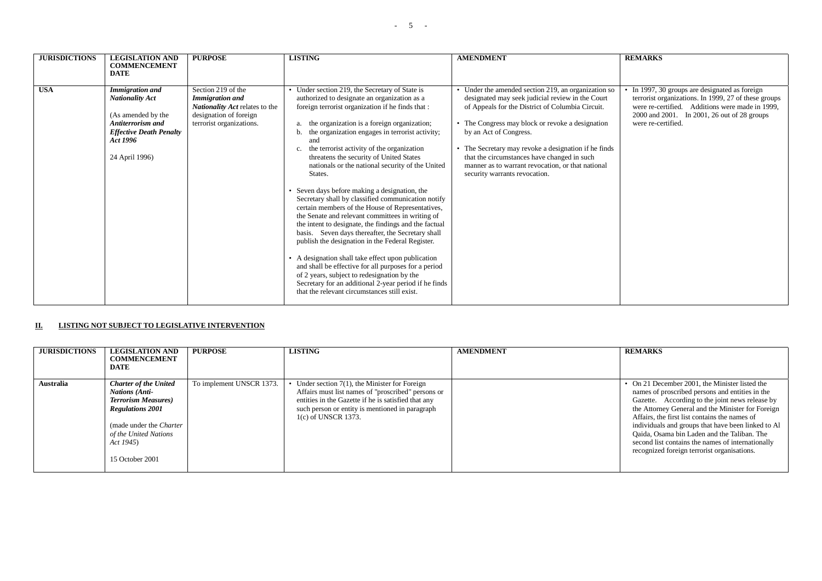| <b>JURISDICTIONS</b> | <b>LEGISLATION AND</b><br><b>COMMENCEMENT</b>                                                                                                               | <b>PURPOSE</b>                                                                                                                              | <b>LISTING</b>                                                                                                                                                                                                                                                                                                                                                                                                                                                                                                                                                                                     | <b>AMENDMENT</b>                                                                                                                                                                                                                                                                                                                                                                                                                       | <b>REMARKS</b>                                                                                                                                                                                                               |
|----------------------|-------------------------------------------------------------------------------------------------------------------------------------------------------------|---------------------------------------------------------------------------------------------------------------------------------------------|----------------------------------------------------------------------------------------------------------------------------------------------------------------------------------------------------------------------------------------------------------------------------------------------------------------------------------------------------------------------------------------------------------------------------------------------------------------------------------------------------------------------------------------------------------------------------------------------------|----------------------------------------------------------------------------------------------------------------------------------------------------------------------------------------------------------------------------------------------------------------------------------------------------------------------------------------------------------------------------------------------------------------------------------------|------------------------------------------------------------------------------------------------------------------------------------------------------------------------------------------------------------------------------|
|                      | <b>DATE</b>                                                                                                                                                 |                                                                                                                                             |                                                                                                                                                                                                                                                                                                                                                                                                                                                                                                                                                                                                    |                                                                                                                                                                                                                                                                                                                                                                                                                                        |                                                                                                                                                                                                                              |
| <b>USA</b>           | <b>Immigration and</b><br><b>Nationality Act</b><br>(As amended by the<br>Antiterrorism and<br><b>Effective Death Penalty</b><br>Act 1996<br>24 April 1996) | Section 219 of the<br><b>Immigration and</b><br><b>Nationality Act relates to the</b><br>designation of foreign<br>terrorist organizations. | • Under section 219, the Secretary of State is<br>authorized to designate an organization as a<br>foreign terrorist organization if he finds that :<br>the organization is a foreign organization;<br>the organization engages in terrorist activity;<br>b.<br>and<br>the terrorist activity of the organization<br>c.<br>threatens the security of United States<br>nationals or the national security of the United<br>States.<br>• Seven days before making a designation, the                                                                                                                  | • Under the amended section 219, an organization so<br>designated may seek judicial review in the Court<br>of Appeals for the District of Columbia Circuit.<br>• The Congress may block or revoke a designation<br>by an Act of Congress.<br>• The Secretary may revoke a designation if he finds<br>that the circumstances have changed in such<br>manner as to warrant revocation, or that national<br>security warrants revocation. | In 1997, 30 groups are designated as foreign<br>terrorist organizations. In 1999, 27 of these groups<br>were re-certified. Additions were made in 1999,<br>2000 and 2001. In 2001, 26 out of 28 groups<br>were re-certified. |
|                      |                                                                                                                                                             |                                                                                                                                             | Secretary shall by classified communication notify<br>certain members of the House of Representatives,<br>the Senate and relevant committees in writing of<br>the intent to designate, the findings and the factual<br>basis. Seven days thereafter, the Secretary shall<br>publish the designation in the Federal Register.<br>• A designation shall take effect upon publication<br>and shall be effective for all purposes for a period<br>of 2 years, subject to redesignation by the<br>Secretary for an additional 2-year period if he finds<br>that the relevant circumstances still exist. |                                                                                                                                                                                                                                                                                                                                                                                                                                        |                                                                                                                                                                                                                              |

### **II. LISTING NOT SUBJECT TO LEGISLATIVE INTERVENTION**

| <b>JURISDICTIONS</b> | <b>LEGISLATION AND</b><br><b>COMMENCEMENT</b><br><b>DATE</b>                                                                                                                                               | <b>PURPOSE</b>           | <b>LISTING</b>                                                                                                                                                                                                                           | <b>AMENDMENT</b> | <b>REMARKS</b>                                                                                                                                                                                                                                                                                                                                                                                                                                                      |
|----------------------|------------------------------------------------------------------------------------------------------------------------------------------------------------------------------------------------------------|--------------------------|------------------------------------------------------------------------------------------------------------------------------------------------------------------------------------------------------------------------------------------|------------------|---------------------------------------------------------------------------------------------------------------------------------------------------------------------------------------------------------------------------------------------------------------------------------------------------------------------------------------------------------------------------------------------------------------------------------------------------------------------|
| <b>Australia</b>     | <b>Charter of the United</b><br><b>Nations (Anti-</b><br><b>Terrorism Measures</b> )<br><b>Regulations 2001</b><br>(made under the <i>Charter</i><br>of the United Nations<br>Act 1945)<br>15 October 2001 | To implement UNSCR 1373. | • Under section $7(1)$ , the Minister for Foreign<br>Affairs must list names of "proscribed" persons or<br>entities in the Gazette if he is satisfied that any<br>such person or entity is mentioned in paragraph<br>1(c) of UNSCR 1373. |                  | • On 21 December 2001, the Minister listed the<br>names of proscribed persons and entities in the<br>Gazette. According to the joint news release by<br>the Attorney General and the Minister for Foreign<br>Affairs, the first list contains the names of<br>individuals and groups that have been linked to Al<br>Qaida, Osama bin Laden and the Taliban. The<br>second list contains the names of internationally<br>recognized foreign terrorist organisations. |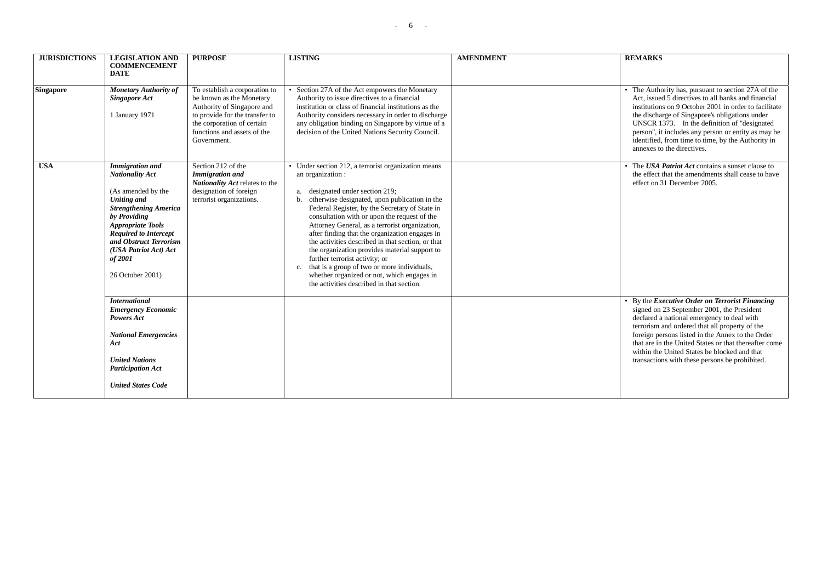| <b>JURISDICTIONS</b> | <b>LEGISLATION AND</b><br><b>COMMENCEMENT</b><br><b>DATE</b>                                                                                                                                                                                                                               | <b>PURPOSE</b>                                                                                                                                                                                        | <b>LISTING</b>                                                                                                                                                                                                                                                                                                                                                                                                                                                                                                                                                                                                                                              | <b>AMENDMENT</b> | <b>REMARKS</b>                                                                                                                                                                                                                                                                                                                                                                                                      |
|----------------------|--------------------------------------------------------------------------------------------------------------------------------------------------------------------------------------------------------------------------------------------------------------------------------------------|-------------------------------------------------------------------------------------------------------------------------------------------------------------------------------------------------------|-------------------------------------------------------------------------------------------------------------------------------------------------------------------------------------------------------------------------------------------------------------------------------------------------------------------------------------------------------------------------------------------------------------------------------------------------------------------------------------------------------------------------------------------------------------------------------------------------------------------------------------------------------------|------------------|---------------------------------------------------------------------------------------------------------------------------------------------------------------------------------------------------------------------------------------------------------------------------------------------------------------------------------------------------------------------------------------------------------------------|
| <b>Singapore</b>     | Monetary Authority of<br><b>Singapore Act</b><br>1 January 1971                                                                                                                                                                                                                            | To establish a corporation to<br>be known as the Monetary<br>Authority of Singapore and<br>to provide for the transfer to<br>the corporation of certain<br>functions and assets of the<br>Government. | Section 27A of the Act empowers the Monetary<br>Authority to issue directives to a financial<br>institution or class of financial institutions as the<br>Authority considers necessary in order to discharge<br>any obligation binding on Singapore by virtue of a<br>decision of the United Nations Security Council.                                                                                                                                                                                                                                                                                                                                      |                  | • The Authority has, pursuant to section 27A of the<br>Act, issued 5 directives to all banks and financial<br>institutions on 9 October 2001 in order to facilitate<br>the discharge of Singapore's obligations under<br>UNSCR 1373. In the definition of "designated"<br>person", it includes any person or entity as may be<br>identified, from time to time, by the Authority in<br>annexes to the directives.   |
| <b>USA</b>           | <b>Immigration</b> and<br><b>Nationality Act</b><br>(As amended by the<br><b>Uniting and</b><br><b>Strengthening America</b><br>by Providing<br><b>Appropriate Tools</b><br><b>Required to Intercept</b><br>and Obstruct Terrorism<br>(USA Patriot Act) Act<br>of 2001<br>26 October 2001) | Section 212 of the<br><b>Immigration</b> and<br>Nationality Act relates to the<br>designation of foreign<br>terrorist organizations.                                                                  | • Under section 212, a terrorist organization means<br>an organization :<br>a. designated under section 219;<br>b. otherwise designated, upon publication in the<br>Federal Register, by the Secretary of State in<br>consultation with or upon the request of the<br>Attorney General, as a terrorist organization,<br>after finding that the organization engages in<br>the activities described in that section, or that<br>the organization provides material support to<br>further terrorist activity; or<br>c. that is a group of two or more individuals,<br>whether organized or not, which engages in<br>the activities described in that section. |                  | • The USA Patriot Act contains a sunset clause to<br>the effect that the amendments shall cease to have<br>effect on 31 December 2005.                                                                                                                                                                                                                                                                              |
|                      | <b>International</b><br><b>Emergency Economic</b><br><b>Powers Act</b><br><b>National Emergencies</b><br>Act<br><b>United Nations</b><br><b>Participation Act</b><br><b>United States Code</b>                                                                                             |                                                                                                                                                                                                       |                                                                                                                                                                                                                                                                                                                                                                                                                                                                                                                                                                                                                                                             |                  | • By the <i>Executive Order on Terrorist Financing</i><br>signed on 23 September 2001, the President<br>declared a national emergency to deal with<br>terrorism and ordered that all property of the<br>foreign persons listed in the Annex to the Order<br>that are in the United States or that thereafter come<br>within the United States be blocked and that<br>transactions with these persons be prohibited. |